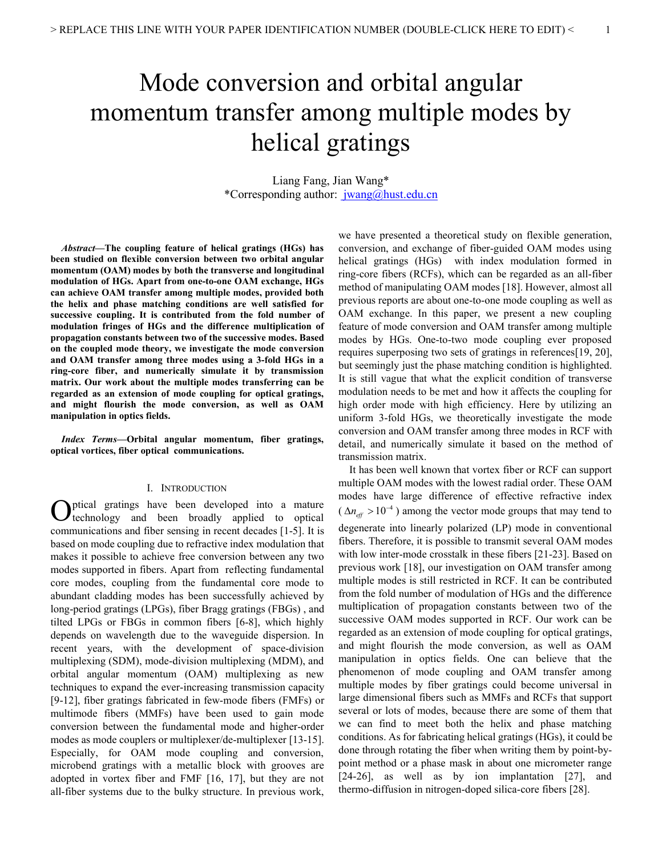# Mode conversion and orbital angular momentum transfer among multiple modes by helical gratings

Liang Fang, Jian Wang\* \*Corresponding author: jwang@hust.edu.cn

*Abstract***—The coupling feature of helical gratings (HGs) has been studied on flexible conversion between two orbital angular momentum (OAM) modes by both the transverse and longitudinal modulation of HGs. Apart from one-to-one OAM exchange, HGs can achieve OAM transfer among multiple modes, provided both the helix and phase matching conditions are well satisfied for successive coupling. It is contributed from the fold number of modulation fringes of HGs and the difference multiplication of propagation constants between two of the successive modes. Based on the coupled mode theory, we investigate the mode conversion and OAM transfer among three modes using a 3-fold HGs in a ring-core fiber, and numerically simulate it by transmission matrix. Our work about the multiple modes transferring can be regarded as an extension of mode coupling for optical gratings, and might flourish the mode conversion, as well as OAM manipulation in optics fields.**

*Index Terms***—Orbital angular momentum, fiber gratings, optical vortices, fiber optical communications.** 

## I. INTRODUCTION

ptical gratings have been developed into a mature  $(4\pi, 10^{-4})$ **O** ptical gratings have been developed into a mature<br>technology and been broadly applied to optical  $(\Delta n_{eff} > 10$ communications and fiber sensing in recent decades [1-5]. It is based on mode coupling due to refractive index modulation that makes it possible to achieve free conversion between any two modes supported in fibers. Apart from reflecting fundamental core modes, coupling from the fundamental core mode to abundant cladding modes has been successfully achieved by long-period gratings (LPGs), fiber Bragg gratings (FBGs) , and tilted LPGs or FBGs in common fibers [6-8], which highly depends on wavelength due to the waveguide dispersion. In recent years, with the development of space-division multiplexing (SDM), mode-division multiplexing (MDM), and orbital angular momentum (OAM) multiplexing as new techniques to expand the ever-increasing transmission capacity [9-12], fiber gratings fabricated in few-mode fibers (FMFs) or multimode fibers (MMFs) have been used to gain mode conversion between the fundamental mode and higher-order modes as mode couplers or multiplexer/de-multiplexer [13-15]. Especially, for OAM mode coupling and conversion, microbend gratings with a metallic block with grooves are adopted in vortex fiber and FMF [16, 17], but they are not all-fiber systems due to the bulky structure. In previous work,

we have presented a theoretical study on flexible generation, conversion, and exchange of fiber-guided OAM modes using helical gratings (HGs) with index modulation formed in ring-core fibers (RCFs), which can be regarded as an all-fiber method of manipulating OAM modes [18]. However, almost all previous reports are about one-to-one mode coupling as well as OAM exchange. In this paper, we present a new coupling feature of mode conversion and OAM transfer among multiple modes by HGs. One-to-two mode coupling ever proposed requires superposing two sets of gratings in references[19, 20], but seemingly just the phase matching condition is highlighted. It is still vague that what the explicit condition of transverse modulation needs to be met and how it affects the coupling for high order mode with high efficiency. Here by utilizing an uniform 3-fold HGs, we theoretically investigate the mode conversion and OAM transfer among three modes in RCF with detail, and numerically simulate it based on the method of transmission matrix. re have presented a theoretical study on flexible generation, or<br>sonversion, an exchange of fiber-guided OAM modes using<br>elical gratings (HGs) with index modulation formed in<br>mg-core fibers (RCFs), which can be regarded a

It has been well known that vortex fiber or RCF can support multiple OAM modes with the lowest radial order. These OAM modes have large difference of effective refractive index  $(\Delta n_{\text{eff}} > 10^{-4})$  among the vector mode groups that may tend to degenerate into linearly polarized (LP) mode in conventional fibers. Therefore, it is possible to transmit several OAM modes with low inter-mode crosstalk in these fibers [21-23]. Based on previous work [18], our investigation on OAM transfer among multiple modes is still restricted in RCF. It can be contributed from the fold number of modulation of HGs and the difference multiplication of propagation constants between two of the successive OAM modes supported in RCF. Our work can be regarded as an extension of mode coupling for optical gratings, and might flourish the mode conversion, as well as OAM manipulation in optics fields. One can believe that the phenomenon of mode coupling and OAM transfer among multiple modes by fiber gratings could become universal in large dimensional fibers such as MMFs and RCFs that support several or lots of modes, because there are some of them that we can find to meet both the helix and phase matching conditions. As for fabricating helical gratings (HGs), it could be done through rotating the fiber when writing them by point-bypoint method or a phase mask in about one micrometer range [24-26], as well as by ion implantation [27], and thermo-diffusion in nitrogen-doped silica-core fibers [28].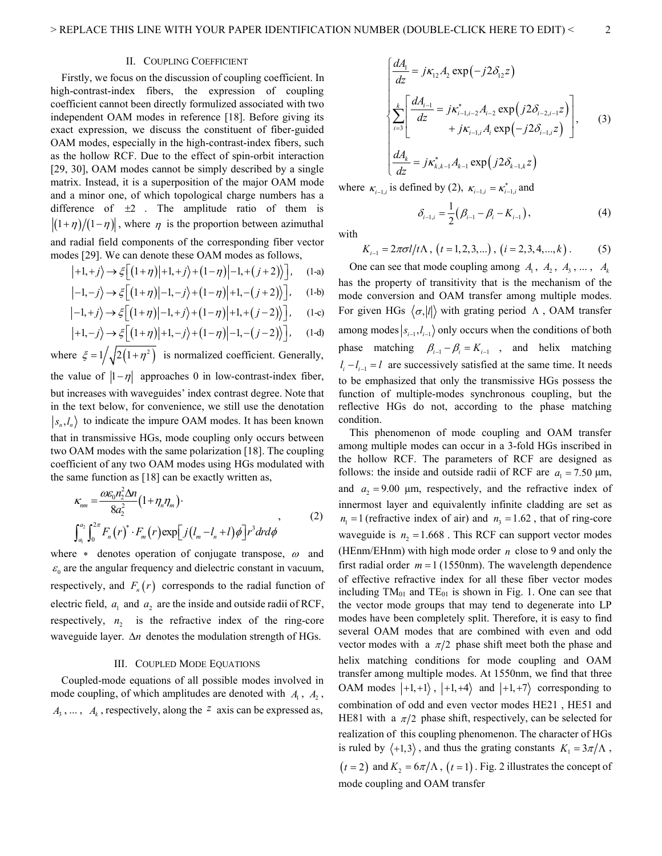## II. COUPLING COEFFICIENT

Firstly, we focus on the discussion of coupling coefficient. In high-contrast-index fibers, the expression of coupling coefficient cannot been directly formulized associated with two independent OAM modes in reference [18]. Before giving its exact expression, we discuss the constituent of fiber-guided OAM modes, especially in the high-contrast-index fibers, such as the hollow RCF. Due to the effect of spin-orbit interaction [29, 30], OAM modes cannot be simply described by a single matrix. Instead, it is a superposition of the major OAM mode<br>and a minor and a furtiest topological charge numbers has a where  $\kappa_{i-1,i}$  is defined by (2),  $\kappa_{i-1,i} = \kappa_{i-1,i}^*$  and and a minor one, of which topological charge numbers has a difference of  $\pm 2$ . The amplitude ratio of them is REPLACE THIS LINE WITH YOUR PAPER IDENTIFICATION NUMBER (DOUBLE<br>
II. COUPLING COEFFICIENT<br>
II. COUPLING COEFFICIENT<br>
II. COUPLING COEFFICIENT<br>
II. COUPLING COEFFICIENT<br>
IFISTLY, we focus on the discussion of coupling coef and radial field components of the corresponding fiber vector modes [29]. We can denote these OAM modes as follows, PLACE THIS LINE WITH YOUR PAPER IDENTIFICATION NUMBER (DOUBLE-CLICK HERE TO EDIT) < 2<br>
1. COUPLING COEFFICIENT<br>
solution of compling coefficient. In<br>
the expectation of compling coefficient in<br>
ceint cannot been directly IS LINE WITH YOUR PAPER IDENTIFICATION NUMBER (DOUBLE-CLICK HERE TO EDIT) <<br>
11. COUPLING COEFFICIENT<br>
as on the discussion of coupling coefficient. In<br>
the expression of coupling coefficient. In<br>
the expression of coupli PLACE THIS LINE WITH YOUR PAPER IDENTIFICATION NUMBER (DOUBLE-CLICK HERE TO EDIT) <<br>
1. COUPLING COEFFICIENT<br>
subty, we focus on the discussion of coupling coefficient. In<br>
subtractament between directly formulation discu IS LINE WITH YOUR PAPER IDENTIFICATION NUMBER (DOUBLE-CLICK HERE TO EDIT) < 2<br>
II. COUPLING COEFFICIENT<br>
as on the discussion of coupling coefficient. In<br>
the there directly formulized associated with two<br>
the check of sp 11. COUPLING COFFICITENT (11, 2013), where  $\theta$  is the properties of the matrix of the section of equality in the section of equality of the section of the section of the section of the section of the section of the secti II. COUPLING COFFRICIENT<br>
so on the discussion of coupling coefficient In<br>
the conditional and coupling the expression of coupling<br>
the modes in reference [18]. Before giving its<br>
M modes in reference [18]. Before giving II. COUPLING COIFFICIENT (<br>
sly, we foss on the discussion of coupling coefficient. In contrast-index there, the expression of coupling<br>
contrast-index these, the expression of coupling  $\frac{dA_t}{dz} = j\kappa_{i-4}^*A_z \exp(-j2\delta_{i$ Iy. we focus on the discussion of coupling coefficient. In<br>the state of the experiment of coupling<br>ient cannot been directly formulized associated with two<br>dent OAM modes in reference [18]. Before giving its  $\sum_{r=1}^{k} \left$ 

$$
|+1,+j\rangle \rightarrow \xi \left[ (1+\eta)|+1,+j\rangle + (1-\eta)|-1,+ (j+2)\rangle \right], \quad (1-a)
$$

$$
|{-1},-j\rangle \rightarrow \xi \Big[ (1+\eta)|-1,-j\rangle + (1-\eta)|+1,-(j+2)\rangle \Big], \quad (1-b)
$$

$$
|{-1,+j}\rangle \rightarrow \xi \left[ (1+\eta)|{-1,+j}\rangle + (1-\eta)|{+1,+(j-2)}\rangle \right], \quad (1-c)
$$

$$
|+1,-j\rangle \rightarrow \xi \Big[ (1+\eta)|+1,-j\rangle + (1-\eta)|-1,-(j-2)\rangle \Big], \quad (1-d)
$$

where  $\xi = 1/\sqrt{2(1+\eta^2)}$  is normalized coefficient. Generally, the value of  $|1-\eta|$  approaches 0 in low-contrast-index fiber, but increases with waveguides' index contrast degree. Note that in the text below, for convenience, we still use the denotation s the hollow RCF. Due to the effect of spin-orbit interaction<br>
29, 30], OAM modes cannot be simply described by a single<br>
and a minor one, of which topological charge numbers has a<br>
infference of  $\pm 2$ . The amplitude rat that in transmissive HGs, mode coupling only occurs between two OAM modes with the same polarization [18]. The coupling coefficient of any two OAM modes using HGs modulated with the same function as [18] can be exactly written as,  $\sqrt{2(1+\eta^2)}$  is normalized coefficient. Generally<br>  $1-\eta$  approaches 0 in low-contrast-index fiber<br>
with waveguides' index contrast degree. Note tha<br>
ow, for convenience, we still use the denotation<br>
cate the impure OAM m  $\xi = 1/\sqrt{2(1+\eta^2)}$  is normalized coefficient. Generally,<br>
ue of  $|1-\eta|$  approaches 0 in low-contrast-index fiber,<br>
reases with waveguides' index contrast degree. Note that<br>
functio<br>
text below, for convenience, we still u <sup>14</sup>  $n_1$  approaches  $\sigma$  in fow contast mack notr, to be emphasize<br>with waveguides' index contrast degree. Note that function of mul<br>clow, for convenience, we still use the denotation reflective HGs<br>licate the impure OA  $\left| \frac{\partial}{\partial n} \right| \left| \frac{\partial}{\partial n} \right|$ , where  $\eta$  is the proportion between azimuthal<br>  $\lim_{k \to \infty} \frac{1}{2} \pi i \left| \frac{\partial}{\partial n} \right|$  and field components of the corresponding fiber vector<br>  $\left| \frac{\partial}{\partial n} \right| \left| \frac{\partial}{\partial n} \right| + 1 + \int \left| -\frac{\partial$  $f)(1-\eta)$ , where  $\eta$  is the proportion between azimuthal<br>
sig [29]. We can denote these OAM modes as follows,<br>  $K_{i-1} = 2\pi\sigma l/\tau\Lambda$ ,  $(t=1,2,3,...)$ ,  $(t=1,2,3,...)$ ,  $(t=1,2,3,...)$ ,  $(t=1,1,1) \rightarrow \xi [(1+\eta)]+1, +j)+ (1-\eta)]=1,+(j+2)$ .<br>
The anse 1-*n*)], where *n* is the proportion between azimuthal<br>
If ided components of the corresponding fiber vector<br>
Fig. 10. We can denote these OAM modes as follows,<br>  $\vec{r}_{i-1} = 2\pi\sigma I_I/t\Lambda$ ,  $(t=1,2,3,...)$ ,  $(t=2,3,...)$ ,  $(t=2,4,3,...)$  $|-1+1/$  →  $\frac{2}{3}$   $\frac{2}{3}$   $|+1, -j\rangle$  →  $\frac{2}{3}$  ( $|+1, -j\rangle$  +  $|+1, -j\rangle$  +  $|+1, -j\rangle$  +  $|+1, -j\rangle$  +  $|+1, -j\rangle$  +  $|+1, -j\rangle$  +  $|+1, -j\rangle$  +  $|+1, -j\rangle$  +  $|+1, -j\rangle$  +  $|+1, -j\rangle$  is normalized coefficient. Generally,

$$
\kappa_{nm} = \frac{\omega \varepsilon_0 n_2^2 \Delta n}{8a_2^2} \left(1 + \eta_n \eta_m\right)
$$
  
\n
$$
\int_{a_1}^{a_2} \int_0^{2\pi} F_n(r)^* \cdot F_m(r) \exp\left[j\left(l_m - l_n + l\right)\phi\right] r^3 dr d\phi
$$
  
\n(2)  $n_1$   
\n $n_2$   
\n $n_3$ 

where  $*$  denotes operation of conjugate transpose,  $\omega$  and  $\epsilon_0$  are the angular frequency and dielectric constant in vacuum, electric field,  $a_1$  and  $a_2$  are the inside and outside radii of RCF, respectively,  $n_2$  is the refractive index of the ring-core waveguide layer.  $\Delta n$  denotes the modulation strength of HGs.

#### III. COUPLED MODE EQUATIONS

Coupled-mode equations of all possible modes involved in mode coupling, of which amplitudes are denoted with  $A_1$ ,  $A_2$ ,  $A_3, \ldots, A_k$ , respectively, along the *z* axis can be expressed as, combination of combination of combination of combination of combination of combination of combination of combination of combination of combination of com

ON NUMBER (DOUBLE-CLICK HERE TO EDITION < 2

\n
$$
\begin{bmatrix}\n\frac{dA_1}{dz} = j\kappa_{12}A_2 \exp\left(-j2\delta_{12}z\right) & \\
\frac{k}{dz} = j\kappa_{12}A_2 \exp\left(-j2\delta_{12}z\right) & \\
\frac{k}{dz} \left[\frac{dA_{i-1}}{dz} = j\kappa_{i-1,i-2}^* A_{i-2} \exp\left(j2\delta_{i-2,i-1}z\right)\right],\n\end{bmatrix},\n\tag{3}
$$
\nwhere  $\kappa_{i-1,i}$  is defined by (2),  $\kappa_{i-1,i} = \kappa_{i-1,i}^*$  and

\n
$$
\delta_{i-1,i} = \frac{1}{2}(\beta_{i-1} - \beta_i - K_{i-1}),\n\tag{4}
$$
\nwith

\n
$$
K_{i-1} = 2\pi\sigma l/t\Lambda, \quad (t = 1, 2, 3, \ldots), \quad (i = 2, 3, 4, \ldots, k).
$$
\nOne can see that mode coupling among  $A_1, A_2, A_3, \ldots, A_k$  has the property of transitivity that is the mechanism of the mode conversion and OAM transfer among multiple modes. For given HGs  $\langle \sigma, |l| \rangle$  with grating period  $\Lambda$ , OAM transfer

$$
\delta_{i-1,i} = \frac{1}{2} \big( \beta_{i-1} - \beta_i - K_{i-1} \big), \tag{4}
$$

with

$$
K_{i-1} = 2\pi\sigma l/t\Lambda, (t = 1, 2, 3, \ldots), (i = 2, 3, 4, \ldots, k).
$$
 (5)

II. COUPLING COEFFICIENT<br>
SIS on the discussion of coupling<br>
the net discussion of coupling<br>
the then directly formulized associated with two<br>
d modes in reference [18]. Before giving its<br>  $\sum_{i=1}^{k} \left[ \frac{dA_{i-1}}{dz} = j\kappa$ One can see that mode coupling among  $A_1, A_2, A_3, \dots, A_k$ has the property of transitivity that is the mechanism of the mode conversion and OAM transfer among multiple modes. For given HGs  $\langle \sigma, |l| \rangle$  with grating period  $\Lambda$ , OAM transfer where  $\kappa_{i-1,i}$  is defined by (2),  $\kappa_{i-1,i} = \kappa_{i-1,i}^*$  and<br>  $\delta_{i-1,i} = \frac{1}{2} (\beta_{i-1} - \beta_i - K_{i-1}),$  (4)<br>
with<br>  $K_{i-1} = 2\pi\sigma l/t\Lambda$ ,  $(t = 1, 2, 3, ...)$ ,  $(i = 2, 3, 4, ..., k)$ . (5)<br>
One can see that mode coupling among  $A_1, A_2, A$  $\frac{I_1}{I_7} = jK_{12}A_2 \exp(-j2\delta_{12}z)$ <br>  $\left[\frac{dA_{i-1}}{dz} = jK_{i-1,i-2}^*A_{i-2} \exp(j2\delta_{i-2,i-1}z)\right]$ , (3)<br>  $+jK_{i-1,i}A_i \exp(-j2\delta_{i-1,i}z)\right]$ , (3)<br>  $\frac{I_k}{Z} = jK_{k,k-1}^*A_{k-1} \exp(j2\delta_{k-1,k}z)$ <br>
lefined by (2),  $K_{i-1,i} = K_{i-1,i}^*$  and<br>  $\$ among modes  $|s_{i-1}, l_{i-1}\rangle$  only occurs when the conditions of both  $\begin{aligned}\n\frac{d}{dz} &= j\kappa_{12} A_2 \exp(-j2\delta_{12}z) \\
\frac{k}{dz} \left[ \frac{dA_{i-1}}{dz} = j\kappa_{i-1,i-2}^* A_{i-2} \exp(j2\delta_{i-2,i-1}z) \right], \qquad (3) \\
\frac{dA_k}{dz} &= j\kappa_{k,k-1}^* A_{k-1} \exp(j2\delta_{k-1,k}z) \\
\frac{dA_k}{dz} &= j\kappa_{k,k-1}^* A_{k-1} \exp(j2\delta_{k-1,k}z) \\
\text{where } \kappa_{i-1,i} \text{ is defined by (2), } \k$  $\delta_{i-1,i} = \frac{1}{2} (\beta_{i-1} - \beta_i - K_{i-1}),$ <br>
with<br>  $K_{i-1} = 2\pi\sigma l/t\Lambda$ ,  $(t = 1, 2, 3, ...)$ ,  $(i = 2, 3, 4, ...),$ <br>
One can see that mode coupling among  $A_1, A_2$ ,<br>
as the property of transitivity that is the mechanode conversion and OAM t  $\begin{cases}\n\frac{k}{\epsilon_2}\left[\frac{dA_{i-1}}{dz} = j\kappa_{i-1,i-2}^* A_{i-2} \exp(j2\delta_{i-2,i-1}z)\right], \\
\frac{dA_k}{dz} = j\kappa_{i, k-1}^* A_i \exp(-j2\delta_{i-1,i}z)\n\end{cases}$ , (3)<br>
where  $\kappa_{i-1,i}$  is defined by (2),  $\kappa_{i-1,i} = \kappa_{i-1,i}^*$  and<br>  $\delta_{i-1,i} = \frac{1}{2}(\beta_{i-1} - \beta_i - K_{$  $l_i - l_{i-1} = l$  are successively satisfied at the same time. It needs to be emphasized that only the transmissive HGs possess the function of multiple-modes synchronous coupling, but the reflective HGs do not, according to the phase matching condition.

 $(r)^{\tilde{}} \cdot F_m(r) \exp\left[\frac{j(l_m - l_n + l)\phi}{r^3} dr d\phi\right]$  waveguide is  $n_2 = 1.668$ . This RCF can support vector modes  $\rightarrow \xi^2[(1+\eta)^]+1, +j) + (1-\eta)^-1, + (j+2)$ ). (1-a) One can see that mode coupling among  $A_1$ ,  $A_2$ ,  $A_3$ ,  $\ldots$ ,  $\rightarrow \xi^2[(1+\eta)^]+1, -j) + (1-\eta)^+1, +(-j+2)$ ). (1-a) has the property of transitivity that is the mechanism of  $\rightarrow \xi^2[(1+\eta)^$ can denote these OAM modes as follows,<br>  $\begin{pmatrix}\n[(1 + \eta)/+1 + (1 - \eta)] + 1, -(j + 2)\n\end{pmatrix}$ , (1-a)  $\begin{pmatrix}\n[-1 + \eta)/+1 - (\eta)/+1, -(j + 2)\n\end{pmatrix}$ , (1-a)  $\begin{pmatrix}\n[-1 + \eta)/+1 - (\eta)/+1, -(j + 2)\n\end{pmatrix}$ , (1-a)  $\begin{pmatrix}\n[-1 + \eta)/+1 - (\eta)/+1, -(j + 2)\n\end{pmatrix}$ , (1expersion, we discuss the constitution of the general  $\left\{\frac{1}{\alpha^2}\right\}$  ( $\alpha^2 = \frac{1}{\alpha^2}$ ,  $\alpha^2 = \frac{1}{\alpha^2}$ ,  $\alpha^2 = \frac{1}{\alpha^2}$ ,  $\alpha^2 = \frac{1}{\alpha^2}$ ,  $\alpha^2 = \frac{1}{\alpha^2}$ ,  $\alpha^2 = \frac{1}{\alpha^2}$ ,  $\alpha^2 = \frac{1}{\alpha^2}$ ,  $\alpha^2 = \frac{1}{\alpha^$  $1,$  (2)  $n_1 = 1$  (refractive index of air) and  $n_3 = 1.62$ , that of ring-core  $A_2$ ,  $A_3$ ,  $A_4$ ,  $A_5$ This phenomenon of mode coupling and OAM transfer among multiple modes can occur in a 3-fold HGs inscribed in the hollow RCF. The parameters of RCF are designed as follows: the inside and outside radii of RCF are  $a_1 = 7.50 \text{ }\mu\text{m}$ , and  $a_2 = 9.00$  µm, respectively, and the refractive index of innermost layer and equivalently infinite cladding are set as (HEnm/EHnm) with high mode order *n* close to 9 and only the first radial order  $m = 1$  (1550nm). The wavelength dependence of effective refractive index for all these fiber vector modes including TM<sup>01</sup> and TE<sup>01</sup> is shown in Fig. 1. One can see that the vector mode groups that may tend to degenerate into LP modes have been completely split. Therefore, it is easy to find several OAM modes that are combined with even and odd vector modes with a  $\pi/2$  phase shift meet both the phase and helix matching conditions for mode coupling and OAM transfer among multiple modes. At 1550nm, we find that three condition.<br>
Condition. This phenomenon of mode coupling and OAM transfer<br>
among multiple modes can occur in a 3-fold HGs inscribed in<br>
the hollow RCF. The parameters of RCF are designed as<br>
follows: the inside and outside combination of odd and even vector modes HE21 , HE51 and HE81 with a  $\pi/2$  phase shift, respectively, can be selected for realization of this coupling phenomenon. The character of HGs follows: the inside and outside radii of RCF are  $a_1 = 7.50 \mu m$ ,<br>and  $a_2 = 9.00 \mu m$ , respectively, and the refractive index of<br>inmerments layer and equivalently infinite clading are set as<br> $n_1 = 1$  (refractive index of ai mode coupling and OAM transfer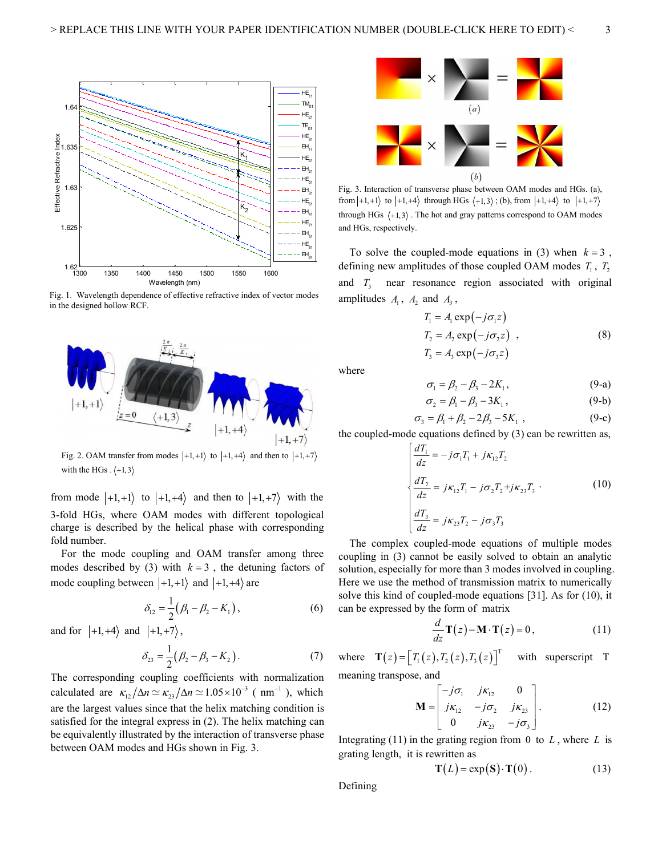

Fig. 1. Wavelength dependence of effective refractive index of vector modes in the designed hollow RCF.



with the HGs  $\langle +1,3 \rangle$ 

3-fold HGs, where OAM modes with different topological charge is described by the helical phase with corresponding fold number.

For the mode coupling and OAM transfer among three modes described by (3) with  $k = 3$ , the detuning factors of

$$
\delta_{12} = \frac{1}{2} (\beta_1 - \beta_2 - K_1), \tag{6}
$$

$$
\delta_{23} = \frac{1}{2} (\beta_2 - \beta_3 - K_2).
$$
 (7)

The corresponding coupling coefficients with normalization calculated are  $\kappa_{12}/\Delta n \simeq \kappa_{23}/\Delta n \simeq 1.05 \times 10^{-3}$  (nm<sup>-1</sup>), which are the largest values since that the helix matching condition is satisfied for the integral express in (2). The helix matching can be equivalently illustrated by the interaction of transverse phase between OAM modes and HGs shown in Fig. 3.



Fig. 3. Interaction of transverse phase between OAM modes and HGs. (a), through HGs  $\langle +1,3 \rangle$ . The hot and gray patterns correspond to OAM modes and HGs, respectively.

To solve the coupled-mode equations in (3) when  $k = 3$ , defining new amplitudes of those coupled OAM modes  $T_1$ ,  $T_2$ and  $T_3$  near resonance region associated with original amplitudes  $A_1$ ,  $A_2$  and  $A_3$ , , (b)<br>
sverse phase between OAM modes and HGs. (a),<br>
rough HGs  $\langle +1,3 \rangle$ ; (b), from  $|+1,+4 \rangle$  to  $|+1,+7 \rangle$ <br>
hot and gray patterns correspond to OAM modes<br>
pled-mode equations in (3) when  $k = 3$ ,<br>
rdes of those coupled OAM sverse phase between OAM modes and HGs. (a),<br>
irough HGs  $\langle +1,3 \rangle$ ; (b), from  $|+1, +4 \rangle$  to  $|+1, +7 \rangle$ <br>
hot and gray patterns correspond to OAM modes<br>
pled-mode equations in (3) when  $k = 3$ ,<br>
pled-mode equations in (3) w prough HGs  $\langle +1,3 \rangle$ ; (b), from  $|+1,+4 \rangle$  to  $|+1,+7 \rangle$ <br>hot and gray patterns correspond to OAM modes<br>pled-mode equations in (3) when  $k = 3$ ,<br>ddes of those coupled OAM modes  $T_1$ ,  $T_2$ <br>nance region associated with ori

$$
T_1 = A_1 \exp(-j\sigma_1 z)
$$
  
\n
$$
T_2 = A_2 \exp(-j\sigma_2 z)
$$
,  
\n
$$
T_3 = A_3 \exp(-j\sigma_3 z)
$$
 (8)

$$
\sigma_1 = \beta_2 - \beta_3 - 2K_1, \qquad (9-a)
$$

$$
\sigma_2 = \beta_1 - \beta_3 - 3K_1, \qquad (9-b)
$$

$$
\sigma_3 = \beta_1 + \beta_2 - 2\beta_3 - 5K_1 , \qquad (9-c)
$$

the coupled-mode equations defined by (3) can be rewritten as,

(b)  
\nof transverse phase between OAM modes and HGs. (a),  
\n1, +4) through HGs (+1,3); (b), from |+1, +4) to |+1, +7  
\n(c) The hot and gray patterns correspond to OAM modes  
\nS  
\n(c) coupled-mode equations in (3) when 
$$
k = 3
$$
,  
\nmplitudes of those coupled OAM modes  $T_1$ ,  $T_2$   
\n7. resonance region associated with original  
\n $A_2$  and  $A_3$ ,  
\n $T_1 = A_1 \exp(-j\sigma_1 z)$   
\n $T_2 = A_2 \exp(-j\sigma_2 z)$ ,  
\n $T_3 = A_3 \exp(-j\sigma_3 z)$   
\n $\sigma_1 = \beta_2 - \beta_3 - 2K_1$ ,  
\n $\sigma_2 = \beta_1 - \beta_3 - 3K_1$ ,  
\n $\sigma_3 = \beta_1 + \beta_2 - 2\beta_3 - 5K_1$ ,  
\ndec equations defined by (3) can be rewritten as,  
\n
$$
\begin{cases}\n\frac{dT_1}{dz} = -j\sigma_1 T_1 + j\kappa_{12} T_2 \\
\frac{dT_2}{dz} = j\kappa_{12} T_1 - j\sigma_2 T_2 + j\kappa_{23} T_3,\\
x \text{ coupled-mode equations of multiple modes} \\
y \text{ cannot be easily solved to obtain an analytic\ne method of transmission matrix to numerically\nof coupled-mode equations [31]. As for (10), it\nby the form of matrix\n
$$
\frac{d}{dz} \mathbf{T}(z) - \mathbf{M} \cdot \mathbf{T}(z) = 0,
$$
  
\n(11)  
\n $\left[ T_1(z), T_2(z), T_3(z) \right]^T$  with superscript T  
\nose, and  
\n
$$
\mathbf{M} = \begin{bmatrix} -j\sigma_1 & j\kappa_{12} & 0 \\ j\kappa_{12} & -j\sigma_2 & j\kappa_{23} \\ 0 & j\kappa_{23} & -j\sigma_3 \end{bmatrix}.
$$
  
\n(i) in the grating region from 0 to L, where L is  
\nit is rewritten as  
\n $\mathbf{T}(L) = \exp(S) \cdot \mathbf{T}(0)$ .  
\n(13)
$$

 *<sup>K</sup>* . (7) 2  $\frac{z=0}{z+1,3}$ <br>
1 and then to  $|+1, +7\rangle$ <br>
1 and then to  $|+1, +7\rangle$ <br>
1 and then to  $|+1, +7\rangle$ <br>
1 and then to  $|+1, +7\rangle$ <br>
the coupled-mode equations defined by (3) can be rewer<br>
then CAM modes with different topological<br> The complex coupled-mode equations of multiple modes coupling in (3) cannot be easily solved to obtain an analytic solution, especially for more than 3 modes involved in coupling. Here we use the method of transmission matrix to numerically solve this kind of coupled-mode equations [31]. As for (10), it can be expressed by the form of matrix  $\sigma_1 = \beta_2 - \beta_3 - 2K_1$ , (9-a)<br>  $\sigma_2 = \beta_1 - \beta_3 - 3K_1$ , (9-b)<br>  $\sigma_3 = \beta_1 + \beta_2 - 2\beta_3 - 5K_1$ , (9-b)<br>
led-mode equations defined by (3) can be rewritten as,<br>  $\frac{dT_1}{dz} = -j\sigma_1T_1 + j\kappa_{12}T_2$ <br>  $\frac{dT_2}{dz} = j\kappa_{12}T_1 - j\sigma_2T_$ ode equations of multiple modes<br>
rasily solved to obtain an analytic<br>
than 3 modes involved in coupling.<br>
transmission matrix to numerically<br>
node equations [31]. As for (10), it<br>
n of matrix<br>  $(z) - \mathbf{M} \cdot \mathbf{T}(z) = 0$ , (11 easily solved to obtain an analytic<br>re than 3 modes involved in coupling.<br>f transmission matrix to numerically<br>mode equations [31]. As for (10), it<br>m of matrix<br> $(z) - \mathbf{M} \cdot \mathbf{T}(z) = 0$ , (11)<br> $z$ ),  $T_3(z)$ ]<sup>T</sup> with superscr  $\int \frac{1}{\sqrt{2}} \int \frac{1}{\sqrt{2}} \int \frac{1}{2} \int \frac{1}{\sqrt{2}} \int \frac{1}{2} \int \frac{1}{\sqrt{2}} \int \frac{1}{2} \int \frac{1}{2} \int \frac{1}{2} \int \frac{1}{2} \int \frac{1}{2} \int \frac{1}{2} \int \frac{1}{2} \int \frac{1}{2} \int \frac{1}{2} \int \frac{1}{2} \int \frac{1}{2} \int \frac{1}{2} \int \frac{1}{2} \int \frac{1}{2} \int \frac{1}{2} \int \frac{1}{2} \int \frac{1}{2} \$ 

$$
\frac{d}{dz}\mathbf{T}(z) - \mathbf{M} \cdot \mathbf{T}(z) = 0, \qquad (11)
$$

where  $\mathbf{T}(z) = [T_1(z), T_2(z), T_3(z)]^T$ with superscript T meaning transpose, and

By for more than 3 modes involved in coupling.

\nmethod of transmission matrix to numerically

\nfound equations [31]. As for (10), it

\nby the form of matrix

\n
$$
\frac{d}{dz} \mathbf{T}(z) - \mathbf{M} \cdot \mathbf{T}(z) = 0,
$$
\n(11)

\n
$$
T_1(z), T_2(z), T_3(z) \quad \text{with superscript } T
$$
\nsee, and

\n
$$
\mathbf{M} = \begin{bmatrix} -j\sigma_1 & j\kappa_{12} & 0 \\ j\kappa_{12} & -j\sigma_2 & j\kappa_{23} \\ 0 & j\kappa_{23} & -j\sigma_3 \end{bmatrix}.
$$
\n(12)

\nin the grating region from 0 to *L*, where *L* is is rewritten as

\n
$$
\mathbf{T}(L) = \frac{1}{2} \mathbf{M} \cdot \mathbf{M} = \begin{bmatrix} 0 & 0 & 0 \\ 0 & 0 & 0 \\ 0 & 0 & 0 \end{bmatrix}.
$$
\n(12)

Integrating (11) in the grating region from 0 to *L* , where*L* is grating length, it is rewritten as

$$
\mathbf{T}(L) = \exp(\mathbf{S}) \cdot \mathbf{T}(0). \tag{13}
$$

Defining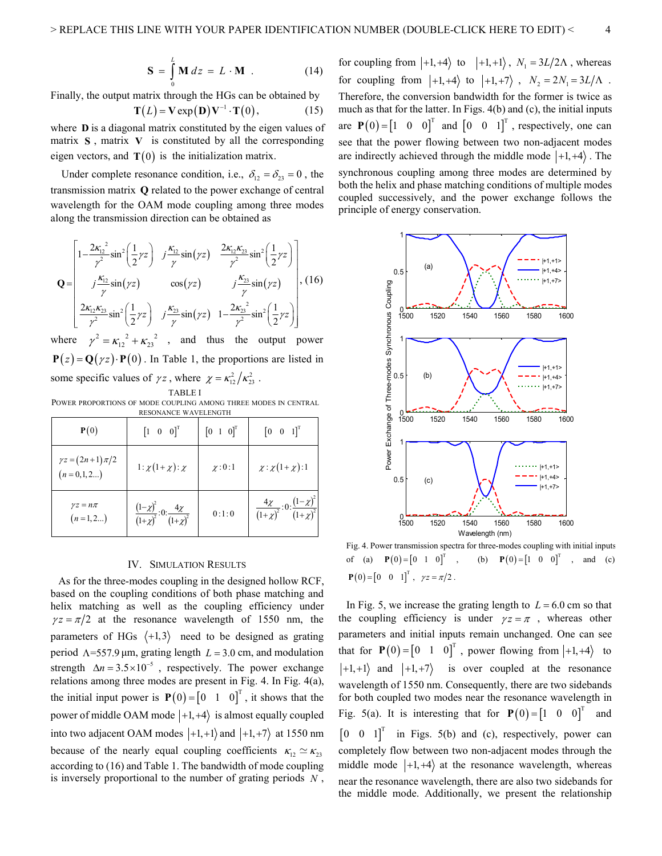$$
\mathbf{S} = \int_{0}^{L} \mathbf{M} \, dz = L \cdot \mathbf{M} \quad . \tag{14}
$$

$$
\mathbf{T}(L) = \mathbf{V} \exp(\mathbf{D}) \mathbf{V}^{-1} \cdot \mathbf{T}(0), \tag{15}
$$

where **D** is a diagonal matrix constituted by the eigen values of matrix **S** , matrix **V** is constituted by all the corresponding eigen vectors, and  $T(0)$  is the initialization matrix. are indirectly achieved through the middle mode  $|+1, +4\rangle$ . The

transmission matrix **Q** related to the power exchange of central wavelength for the OAM mode coupling among three modes along the transmission direction can be obtained as

Finally, the output matrix through the HGs can be obtained by  
\n
$$
\mathbf{T}(L) = \mathbf{V} \exp(\mathbf{D})\mathbf{V}^{-1} \cdot \mathbf{T}(0),
$$
\n(15) much as that for the latter. In  
\nwhere **D** is a diagonal matrix constituted by the eigen values of  
\nmatrix **S**, matrix **V** is constituted by the eigen values of  
\nmatrix **S**, matrix **V** is constituted by the eigen values of  
\nlinearity **S**, matrix **V** is constituted by all the corresponding  
\neigen vectors, and **T**(0) is the initialization matrix.  
\nUnder complete resonance condition, i.e.,  $\delta_{12} = \delta_{23} = 0$ , the  
\nsynchronous coupling among  
\ntransmission matrix **Q** related to the power exchange of central  
\nboundary the OAM mode coupling among three modes  
\nalong the transmission direction can be obtained as  
\n
$$
\mathbf{Q} = \begin{bmatrix} 1 - \frac{2\kappa_{12}^2}{\gamma^2} \sin^2(\frac{1}{2}\gamma z) & j\frac{\kappa_{12}}{\gamma} \sin(\gamma z) & \frac{2\kappa_{12}\kappa_{23}}{\gamma^2} \sin^2(\frac{1}{2}\gamma z) \\ j\frac{\kappa_{12}}{\gamma} \sin(\gamma z) & \cos(\gamma z) & j\frac{\kappa_{23}}{\gamma} \sin^2(\frac{1}{2}\gamma z) \end{bmatrix},
$$
\n(16)  
\n
$$
\frac{2\kappa_{12}\kappa_{23}}{\gamma^2} \sin^2(\frac{1}{2}\gamma z) & j\frac{\kappa_{23}}{\gamma} \sin(\gamma z) & 1 - \frac{2\kappa_{23}^2}{\gamma^2} \sin^2(\frac{1}{2}\gamma z) \end{bmatrix},
$$
\n(16)  
\nwhere  $\gamma^2 = \kappa_{12}^2 + \kappa_{23}^2$ , and thus the output power  
\n $\mathbf{P}(z) = \mathbf{Q}(\gamma z) \cdot \mathbf{P}(0)$ . In Table 1, the proportions are listed in  
\nsome specific values of  $\gamma z$ , where  $\chi = \kappa_{12}^2 / \kappa_{23}^2$ .  
\n
$$
\mathbf{P}(0) \qquad [1 \ 0 \ 0]^T \qquad [0 \ 0 \ 1]^T \qquad [0 \ 0 \ 1]^T
$$
\n $$ 

|                                                                                                                                                 | $\left[1-\frac{2\kappa_{12}^2}{r^2}\sin^2\left(\frac{1}{2}\gamma z\right) \left(j\frac{\kappa_{12}}{r}\sin(\gamma z)\right)\right]\frac{2\kappa_{12}\kappa_{23}}{r^2}\sin^2\left(\frac{1}{2}\gamma z\right)$                                        |  |                                                                      |                                                                                                             |                                                                |  |
|-------------------------------------------------------------------------------------------------------------------------------------------------|-----------------------------------------------------------------------------------------------------------------------------------------------------------------------------------------------------------------------------------------------------|--|----------------------------------------------------------------------|-------------------------------------------------------------------------------------------------------------|----------------------------------------------------------------|--|
|                                                                                                                                                 | $\mathbf{Q} = \begin{vmatrix} j\frac{K_{12}}{\gamma} \sin(\gamma z) & \cos(\gamma z) & j\frac{K_{23}}{\gamma} \sin(\gamma z) \end{vmatrix}, (16)$                                                                                                   |  |                                                                      | 0.5                                                                                                         | (a)                                                            |  |
|                                                                                                                                                 | $\left  \frac{2\kappa_{12}\kappa_{23}}{\nu^2} \sin^2 \left( \frac{1}{2} \gamma z \right) \right  j \frac{\kappa_{23}}{\nu} \sin \left( \gamma z \right) \left  1 - \frac{2\kappa_{23}^2}{\nu^2} \sin^2 \left( \frac{1}{2} \gamma z \right) \right $ |  |                                                                      | Delldinoo snotouclyLike Special one of the one of the one of the one of the one of the one of the o<br>1500 | 1520                                                           |  |
| where $\gamma^2 = \kappa_{12}^2 + \kappa_{23}^2$ , and thus the output power                                                                    |                                                                                                                                                                                                                                                     |  |                                                                      |                                                                                                             |                                                                |  |
| $P(z) = Q(\gamma z) \cdot P(0)$ . In Table 1, the proportions are listed in                                                                     |                                                                                                                                                                                                                                                     |  |                                                                      |                                                                                                             |                                                                |  |
| some specific values of $\gamma z$ , where $\chi = \kappa_{12}^2 / \kappa_{23}^2$ .                                                             |                                                                                                                                                                                                                                                     |  |                                                                      |                                                                                                             | (b)                                                            |  |
| <b>TABLE I</b><br>POWER PROPORTIONS OF MODE COUPLING AMONG THREE MODES IN CENTRAL<br>RESONANCE WAVELENGTH                                       |                                                                                                                                                                                                                                                     |  |                                                                      | 1500                                                                                                        | 1520                                                           |  |
| P(0)                                                                                                                                            | $\begin{bmatrix} 1 & 0 & 0 \end{bmatrix}^T$ $\begin{bmatrix} 0 & 1 & 0 \end{bmatrix}^T$ $\begin{bmatrix} 0 & 0 & 1 \end{bmatrix}^T$                                                                                                                 |  |                                                                      |                                                                                                             |                                                                |  |
| $yz = (2n+1)\pi/2$<br>$(n = 0, 1, 2)$                                                                                                           | $1: \chi(1+\chi): \chi \qquad \chi: 0:1$                                                                                                                                                                                                            |  | $\chi:\chi(1+\chi):1$                                                | 0.5                                                                                                         | (c)                                                            |  |
| $\gamma z = n\pi$<br>$(n = 1, 2)$                                                                                                               | $\frac{(1-\chi)^2}{(1+\chi)^2}:0:\frac{4\chi}{(1+\chi)^2}$                                                                                                                                                                                          |  | 0:1:0 $\frac{4\chi}{(1+\chi)^2}$ :0: $\frac{(1-\chi)^2}{(1+\chi)^2}$ | $\Omega$<br>1500                                                                                            | 1520                                                           |  |
|                                                                                                                                                 |                                                                                                                                                                                                                                                     |  |                                                                      |                                                                                                             | Fig. 4. Power transmission spec                                |  |
| <b>IV. SIMULATION RESULTS</b>                                                                                                                   |                                                                                                                                                                                                                                                     |  |                                                                      |                                                                                                             | of (a) $P(0) = [0 \ 1 \ 0]^T$                                  |  |
| based on the coupling conditions of both phase matching and                                                                                     | As for the three-modes coupling in the designed hollow RCF,                                                                                                                                                                                         |  |                                                                      | ${\bf P}(0) = [0 \ 0 \ 1]^T$ , $\gamma z = \pi/2$ .                                                         |                                                                |  |
| helix matching as well as the coupling efficiency under                                                                                         |                                                                                                                                                                                                                                                     |  |                                                                      |                                                                                                             | In Fig. 5, we increase the                                     |  |
| $\gamma z = \pi/2$ at the resonance wavelength of 1550 nm, the                                                                                  |                                                                                                                                                                                                                                                     |  |                                                                      |                                                                                                             | the coupling efficiency i                                      |  |
| parameters of HGs $\langle +1,3 \rangle$ need to be designed as grating                                                                         |                                                                                                                                                                                                                                                     |  |                                                                      |                                                                                                             | parameters and initial inpu<br>that for $P(0) = [0 \ 1 \ 0]^T$ |  |
| period $\Lambda$ =557.9 µm, grating length $L = 3.0$ cm, and modulation                                                                         |                                                                                                                                                                                                                                                     |  |                                                                      |                                                                                                             |                                                                |  |
| strength $\Delta n = 3.5 \times 10^{-5}$ , respectively. The power exchange<br>relations among three modes are present in Fig. 4. In Fig. 4(a). |                                                                                                                                                                                                                                                     |  |                                                                      |                                                                                                             | $ +1,+1\rangle$ and $ +1,+7\rangle$ is                         |  |

## IV. SIMULATION RESULTS

As for the three-modes coupling in the designed hollow RCF, based on the coupling conditions of both phase matching and helix matching as well as the coupling efficiency under In Fig. 5, we increase the grating length to  $L = 6.0$  cm so that parameters of HGs  $\langle +1,3 \rangle$  need to be designed as grating period  $\Lambda$ =557.9 µm, grating length  $L = 3.0$  cm, and modulation Power PROPORTIONS OF VOID EQUINERED MONE IN A SECTED IN 1971 ( $r = (2n + 1)\pi/2$ <br>
Fig. ( $n = 0, 1, 2...$ )  $\left[\frac{(1-x)^2}{(1+x)^2}, 0, \frac{4x}{(1+x)^2}\right]$   $\left[\frac{4x}{(1+x)^2}, 0, \frac{(1-x)^2}{(1+x)^2}\right]$   $\left[\frac{4x}{(1+x)^2}, 0, \frac{(1-x)^2}{(1+x)^2}\right]$   $\left[\frac{4x}{(1+x)^2$ relations among three modes are present in Fig. 4. In Fig.  $4(a)$ , the initial input power is  $P(0) = \begin{bmatrix} 0 & 1 & 0 \end{bmatrix}^T$ , it shows that the  $y = (2a + 1)π/2$ <br>
( $(π = 0, 1, 2, ...$ )<br>  $(π = 1, 2, ...)$ <br>  $(π = 1, 2, ...)$ <br>  $(π = 1, 2, ...)$ <br>  $(π = 1, 2, ...)$ <br>  $(π = 1, 2, ...)$ <br>  $(π = 1, 2, ...)$ <br>  $(π = 1, 2, ...)$ <br>  $(π = 1, 2, ...)$ <br>  $(π = 1, 2, ...)$ <br>  $(π = 1, 2, ...)$ <br>  $(π = 1, 2, ...)$ <br>  $(π = 1, 2, ...)$ <br>  $(π =$  $yz = (2n+1)π/2$ <br>  $(z = 1.2, ...)$ <br>  $(z = 1.2, ...)$ <br>  $(1-2)^{2} (1+2)^{2} (1+2)^{2}$ <br>  $(1-2)^{2} (1+2)^{2} (1+2)^{2}$ <br>  $(1-2)^{2} (1+2)^{2} (1+2)^{2}$ <br>  $(1-2)^{2} (1+2)^{2} (1+2)^{2}$ <br>  $(1-2)^{2} (1+2)^{2} (1+2)^{2} (1+2)^{2}$ <br>  $(1-2)^{2} (1+2)^{2} (1+2)^{2} (1+2)^{2$ (a-0,1,2...)<br>  $\frac{1}{2}$   $\frac{1}{2}$   $\frac{1}{2}$   $\frac{1}{2}$   $\frac{1}{2}$   $\frac{1}{2}$   $\frac{1}{2}$   $\frac{1}{2}$   $\frac{1}{2}$   $\frac{1}{2}$   $\frac{1}{2}$   $\frac{1}{2}$   $\frac{1}{2}$   $\frac{1}{2}$   $\frac{1}{2}$   $\frac{1}{2}$   $\frac{1}{2}$   $\frac{1}{2}$   $\frac{1}{2}$   $\frac{1}{2}$   $\frac{1}{2$ according to (16) and Table 1. The bandwidth of mode coupling middle mode  $|+1, +4\rangle$  at the resonance wavelength, whereas is inversely proportional to the number of grating periods *N* ,

NE WITH YOUR PAPER IDENTIFICATION NUMBER (DOUBLE-CLICK HERE TO EDIT) <<br>  $\mathbf{S} = \int_0^L \mathbf{M} dz = L \cdot \mathbf{M}$ . (14) for coupling from  $|+1, +4\rangle$  to  $|+1, +1\rangle$ ,  $N_1 = 3L/2\Lambda$ , v<br>
for coupling from  $|+1, +4\rangle$  to  $|+1, +1\rangle$ ,  $N_2$ Finally, the output matrix through the HGs can be obtained by Therefore, the conversion bandwidth for the former is twice as  $(L) = \mathbf{V} \exp(\mathbf{D}) \mathbf{V}^{-1} \cdot \mathbf{T}(0)$ , (15) much as that for the latter. In Figs. 4(b) and (c), the initial inputs LINE WITH YOUR PAPER IDENTIFICATION NUMBER (DOUBLE-CLICK HERE TO EDIT) <<br>  $S = \int_{0}^{L} M dz = L \cdot M$ . (14) for coupling from  $|+1,+4\rangle$  to  $|+1,+1\rangle$ ,  $N_1 = 3L/2\Lambda$ , where the HGs can be obtained by the enversion bandwidth for the REPLACE THIS LINE WITH YOUR PAPER IDENTIFICATION NUMBER (DOUBLE-CLICK HERE TO EDIT) <<br>  $S = \int_{0}^{L} M dz = L \cdot M$ .<br>
(14) for coupling from  $|+1, +4\rangle$  to  $|+1, +1\rangle$ ,  $N_1 = 3L/2\Lambda$ , whereas<br>
for coupling from  $|+1, +4\rangle$  to  $|+1, +1$ output matrix through the HGs can be obtained by Therefore, the conversion ba<br>  $\mathbf{T}(L) = \mathbf{V} \exp(\mathbf{D})\mathbf{V}^{-1} \cdot \mathbf{T}(0)$ , (15) much as that for the latter. In<br>
a diagonal matrix constituted by the eigen values of are  $\math$ CE THIS LINE WITH YOUR PAPER IDENTIFICATION NUMBER (DOUBLE-CLICK HERE TO EDIT) <<br>  $S = \int_{0}^{1} M dz = L \cdot M$ . (14) for coupling from  $|+1, +4\rangle$  to  $|+1, +7\rangle$ ,  $N_1 = 3L/2\Lambda$ , whereas<br>
the output matrix through the HGs can be obta PLACE THIS LINE WITH YOUR PAPER IDENTIFICATION NUMBER (DOUBLE-CLICK HERE TO EDIT) <<br>  $S = \int_{0}^{L} M dz = L \cdot M$ . (14) for coupling from  $|+1, +4\rangle$  to  $|+1, +1\rangle$ ,  $N_1 = 3L/2\Lambda$ , where<br>  $S = \int_{0}^{L} M dz = L \cdot M$ . (14) for coupling from EUNE WITH YOUR PAPER IDENTIFICATION NUMBER (DOUBLE-CLICK HERE TO EDIT) <<br>  $S = \int_0^b M dz = L \cdot M$ . (14) for coupling from  $|+1,+4\rangle$  to  $|+1,+1\rangle$ ,  $N_1 = 3L/2\Lambda$ , whereas<br>
matrix through the HGs can be obtained by therefore, the THIS LINE WITH YOUR PAPER IDENTIFICATION NUMBER (DOUBLE-CLICK HERE TO EDIT) <br>
S =  $\int_0^1 M dz = L \cdot M$  (14) for coupling from  $|+1, +4\rangle$  to  $|+1, +1\rangle$ ,  $N_1 = 3L/2\Lambda$ , where<br>
tup turns turnough the HOS can be obtained by Theref **2** 3 1.16 1.16 1.16 1.16 1.11 and the sinus of the coupling from  $|+1, +4\rangle$  to  $|+1, +1\rangle$ ,  $N_1 = 3L/2\Lambda$ , the output matrix through the HGs can be obtained by The coupling from  $|+1, +4\rangle$  to  $|+1, +1\rangle$ ,  $N_1 = 3L/2\Lambda$ , th S =  $\int_0^2 M dz = L \cdot M$ . (14) for coupling from  $|+1,+4\rangle$  to  $|+1,+1\rangle$ ,  $N_1 = 3L/2\Lambda$ , whereas<br>
not about the HGs can be obtained by<br>
Therefore, the conversion bandwidth for the former is twice as<br>
T(L) = Vexp(D)V<sup>-1</sup>·T(0), **INE WITH YOUR PAPER IDENTIFICATION NUMBER (DOUBLE-CLICK HERE TO EDIT) <br>**  $S = \int_{0}^{L} M dz = L \cdot M$ **.** (14) for coupling from  $|+1, +4\rangle$  to  $|+1, +1\rangle$ ,  $N_1 = 3L/2\Lambda$ , whereas<br>
for coupling from  $|+1, +4\rangle$  to  $|+1, +7\rangle$ ,  $N_1 = 2M_$ CF. THIS LINE WITH YOUR PAPER IDENTIFICATION NUMBER (DOUBLE-CLICK HERE TO EDIT) <<br> **S** =  $\int_{0}^{1} \mathbf{M} dz = I \cdot \mathbf{M}$ . (14) for coupling from  $|+1,+4\rangle$  to  $|+1,+1\rangle$ ,  $N_1 = 3L/2\Lambda$ , whereas<br> **i** a couput matrix through the CE THIS LINE WITH YOUR PAPER IDENTIFICATION NUMBER (DOUBLE-CLICK HERE TO EDIT) <<br> **z**  $S = \int_{0}^{f} M dz = L \cdot M$ . (14) for evapling from  $|+1,+4\rangle$  to  $|+1,+1\rangle$ ,  $N_1 = 3I/2\Lambda$ , whereas<br> **c** evaptur matrix through the HGs can be o LINE WITH YOUR PAPER IDENTIFICATION NUMBER (DOUBLE-CLICK HERE TO EDIT) <<br>  $S = \int_{0}^{L} M dz = L \cdot M$ . (14) for coupling from  $|+1, +4\rangle$  to  $|+1, +1\rangle$ ,  $N_1 = 3L/2\Lambda$ , whereas<br>
for coupling from  $|+1, +4\rangle$  to  $|+1, +7\rangle$ ,  $N_3 = 2N_$ CE THIS LINE WITH YOUR PAPER IDENTIFICATION NUMBER (DOUBLE-CLICK HERE TO EDIT) <br>
S =  $\int_{0}^{1} M dz = L \cdot M$  (14) for coupling from  $|+1,+4\rangle$  to  $|+1,+1\rangle$ ,  $N_1 = 3L/2\Lambda$ ,<br>
e output matrix through the HGs can be obtained by free IS LINE WITH YOUR PAPER IDENTIFICATION NUMBER (DOUBLE-CLICK HERE TO EDIT) <<br>  $S = \int_0^t M dz = L \cdot M$ . (14) for coupling from  $|+1, +4\rangle$  to  $|+1, +7\rangle$ ,  $N_1 = 3L/2\Lambda$ , whereas<br>
for coupling from  $|+1, +4\rangle$  to  $|+1, +7\rangle$ ,  $N_1 = 2N$ ACE THIS LINE WITH YOUR PAPER IDENTIFICATION NUMBER (DOUBLE-CLICK HERE TO EDIT) <<br>
S =  $\int_0^2 M dz = I \cdot M$ .<br>
(14) for coupling from  $|+1, +4\rangle$  to  $|+1, +1\rangle$ ,  $N_1 = 3L/2\Lambda$ , wh<br>
the output matrix through the HGs can be obtaine S =  $\int_{0}^{L} M dz = L \cdot M$ .<br>
(14) for coupling from  $|+1,+4\rangle$  to  $|+1,+1\rangle$ ,  $N_1 = 3L/2\Lambda$ , whereas<br>
for coupling from  $|+1,+4\rangle$  to  $|+1,+7\rangle$ ,  $N_2 = 2N/2\Lambda$ , whereas<br>
for coupling from  $|+1,+4\rangle$  to  $|+1,+7\rangle$ ,  $N_3 = 2L/2\Lambda$ , whe S =  $\int_{0}^{L} \mathbf{M} dz = L \cdot \mathbf{M}$  (14) for coupling from  $|+1,+4\rangle$  to  $|+1,+1\rangle$ ,  $N_1 = 3L/2\Lambda$ , where output matrix through the HGs can be obtained by Therefore, the conversion bandwidth for the former is **T**(L) = Vexp(D)V<sup></sup> FPLACE THIS LINE WITH YOUR PAPER IDENTIFICATION NUMBER (DOUBLE-CLICK HERE TO EDIT) <<br>  $S = \int_{0}^{1} M dz = L \cdot M$ . (14) for coupling from  $|+1, +4\rangle$  to  $|+1, +1\rangle$ ,  $N_1 = 3L/2\Lambda$ , whereas<br>
ally, the output matrix through in HSG ca PLACE HIS LINE WITH YOUR PAPER IDENTIFICATION NUMBER (DOUBLE-CLICK HERE 10 EDIT) < 4<br>
S =  $\int_{2}^{x} M dz = L \cdot M$ . (14) for coupling from  $|+1, +4\rangle$  to  $|+1, +1\rangle$ ,  $N_1 = 3L/2\Lambda$ , whereas<br>
y, the output matrix through the HGs ca ACE THIS LINE WITH YOUR PAPER IDENTIFICATION NUMBER (DOUBLE-CLICK HERE TO ED <br>  $S = \int_{0}^{1} M dz = L \cdot M$ . (14) for coupling from  $|+1, +4\rangle$  to  $|+1, +1\rangle$ ,  $N_1 = 3L/$ <br>
the output matrix through the HIS can be obtained by the rec ON NUMBER (DOUBLE-CLICK HERE TO EDIT) < 4<br>for coupling from  $|+1, +4\rangle$  to  $|+1, +1\rangle$ ,  $N_1 = 3L/2\Lambda$ , whereas<br>for coupling from  $|+1, +4\rangle$  to  $|+1, +7\rangle$ ,  $N_2 = 2N_1 = 3L/\Lambda$ .<br>Therefore, the conversion bandwidth for the forme For coupling from  $|+1, +4\rangle$  to  $|+1, +1\rangle$ ,  $N_1 = 3L/2\Lambda$ , whereas<br>for coupling from  $|+1, +4\rangle$  to  $|+1, +7\rangle$ ,  $N_2 = 2N_1 = 3L/\Lambda$ .<br>Therefore, the conversion bandwidth for the former is twice as<br>much as that for the latter. are  $P(0) = \begin{bmatrix} 1 & 0 & 0 \end{bmatrix}^T$  and  $\begin{bmatrix} 0 & 0 & 1 \end{bmatrix}^T$ , respectively, one can NUMBER (DOUBLE-CLICK HERE TO EDIT) < <br>
equality from  $|+1, +4\rangle$  to  $|+1, +1\rangle$ ,  $N_1 = 3L/2\Lambda$ , whereas<br>
equality from  $|+1, +4\rangle$  to  $|+1, +7\rangle$ ,  $N_2 = 2N_1 = 3L/\Lambda$ .<br>
effore, the conversion bandwidth for the former is twice a ICK HERE TO EDIT) < 4<br>  $|+1,+1\rangle$ ,  $N_1 = 3L/2\Lambda$ , whereas<br>
to  $|+1,+7\rangle$ ,  $N_2 = 2N_1 = 3L/\Lambda$ .<br>
Indwidth for the former is twice as<br>
Figs. 4(b) and (c), the initial inputs<br>
0 0 1]<sup>T</sup>, respectively, one can<br>
between two non-ad see that the power flowing between two non-adjacent modes DN NUMBER (DOUBLE-CLICK HERE TO EDIT) < 4<br>for coupling from  $|+1, +4\rangle$  to  $|+1, +1\rangle$ ,  $N_1 = 3L/2\Lambda$ , whereas<br>for coupling from  $|+1, +4\rangle$  to  $|+1, +7\rangle$ ,  $N_2 = 2N_1 = 3L/\Lambda$ .<br>Therefore, the conversion bandwidth for the forme synchronous coupling among three modes are determined by both the helix and phase matching conditions of multiple modes coupled successively, and the power exchange follows the principle of energy conservation.



Fig. 4. Power transmission spectra for three-modes coupling with initial inputs of (a)  $P(0) = [0 \ 1 \ 0]^T$ , (b)  $P(0) = [1 \ 0 \ 0]^T$ , and (c)  $P(0) = [0 \ 0 \ 1]^T$ ,  $\gamma z = \pi/2$ .

0<sup>T</sup> [0 1 o]<sup>T</sup> [0 0 1]<sup>T</sup> [0 1 0]<sup>T</sup> [0 0 1]<sup>T</sup> [0 0 1]<sup>T</sup><br>
(1+x)<sup>2</sup> (1+x)<sup>2</sup> (1+x)<sup>2</sup> [1+x)<sup>2</sup> [1+x)<sup>2</sup> [1+x)<sup>2</sup> [1+x)<sup>2</sup> [1+x)<sup>2</sup> [1+x)<sup>2</sup> [1+x)<sup>2</sup> [1+x)<sup>2</sup> [1+x)<sup>2</sup> [1+x)<sup>2</sup> [1+x)<sup>2</sup> [1+x)<sup>2</sup> [1+x)<sup>2</sup> [1+x)<sup>2</sup> [1+x)<sup>2</sup> parameters and initial inputs remain unchanged. One can see that for  $P(0) = \begin{bmatrix} 0 & 1 & 0 \end{bmatrix}^T$ , power flowing from  $|+1, +4\rangle$  to 1, 1 and 1, 7 isover coupled at the resonance wavelength of 1550 nm. Consequently, there are two sidebands for both coupled two modes near the resonance wavelength in Fig. 5(a). It is interesting that for  $P(0) = \begin{bmatrix} 1 & 0 & 0 \end{bmatrix}^T$  and  $\begin{bmatrix}\n\cdots & \cdots & \vdots \\
\cdots & \cdots & \vdots \\
\vdots & \ddots & \vdots \\
\vdots & \ddots & \vdots \\
\vdots & \ddots & \vdots \\
\vdots & \ddots & \vdots \\
\vdots & \ddots & \vdots \\
\vdots & \ddots & \vdots \\
\vdots & \ddots & \vdots \\
\vdots & \ddots & \vdots \\
\vdots & \ddots & \vdots \\
\vdots & \ddots & \vdots \\
\vdots & \ddots & \vdots \\
\vdots & \ddots & \vdots \\
\vdots & \ddots & \vdots \\
\vdots & \ddots & \vdots \\
\vdots & \ddots & \vdots \\
\vdots & \ddots & \$  $\begin{bmatrix} 0 & 0 & 1 \end{bmatrix}^T$  in Figs. 5(b) and (c), respectively, power can  $\sum_{\substack{n=1, n \text{ odd} \\ n \text{ odd}}}^{n}$  (c)<br>  $\sum_{\substack{n \text{ odd} \\ n \text{ odd}}}^{n}$   $\sum_{\substack{n \text{ odd} \\ n \text{ odd}}}^{n}$   $\sum_{\substack{n \text{ odd} \\ n \text{ odd}}}^{n}$   $\sum_{\substack{n \text{ odd} \\ n \text{ odd}}}^{n}$ <br>  $\sum_{\substack{n \text{ odd} \\ n \text{ odd}}}^{n}$ <br>  $\sum_{\substack{n \text{ odd} \\ n \text{ odd}}}^{n}$ <br>  $\sum_{\substack{n \text{ odd} \\ n \text{ odd}}}^{n}$ <br>  $\sum_{\substack{n$ completely flow between two non-adjacent modes through the Fig. 4. Power transmission spectra for three-modes coupling with initial inputs<br>of (a)  $P(0) = \begin{bmatrix} 0 & 0 & 1 \end{bmatrix}^T$ ,  $\gamma z = \pi/2$ .<br>In Fig. 5, we increase the grating length to  $L = 6.0$  cm so that<br>the coupling efficiency is near the resonance wavelength, there are also two sidebands for the middle mode. Additionally, we present the relationship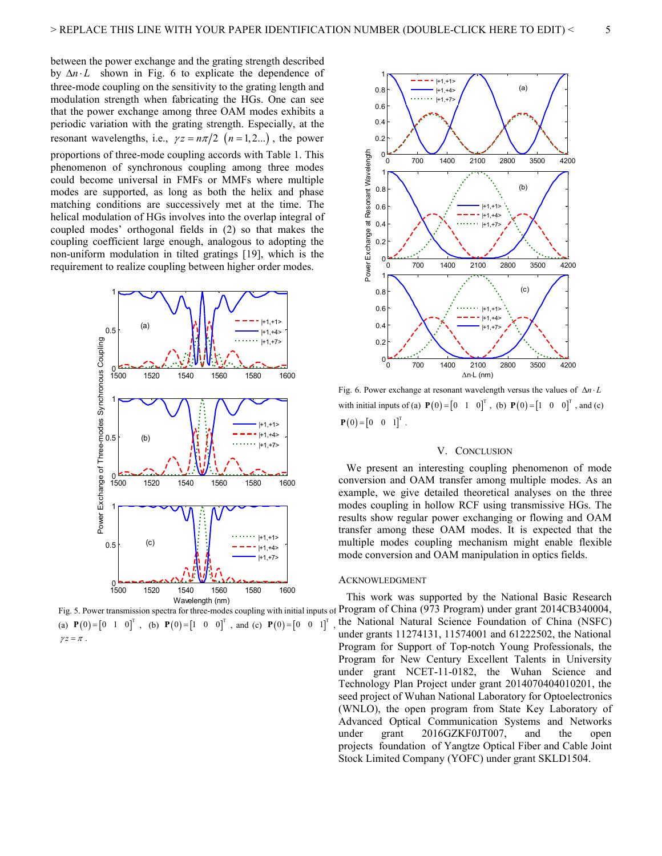between the power exchange and the grating strength described > REPLACE THIS LINE WITH YOUR PAPER IDENTIFICATION NUMBER (DOU<br>between the power exchange and the grating strength described<br>by  $\Delta n \cdot L$  shown in Fig. 6 to explicate the dependence of<br>three-mode coupling on the sensitivit three-mode coupling on the sensitivity to the grating length and modulation strength when fabricating the HGs. One can see that the power exchange among three OAM modes exhibits a periodic variation with the grating strength. Especially, at the PREPLACE THIS LINE WITH YOUR PAPER IDENTIFICATION NUMBER (DOUBLE-CLICK HERE TO EDIT) <<br>between the power exchange and the grating strength described<br>by  $\Delta n \cdot L$  shown in Fig. 6 to explicate the dependence of<br>there-mode co proportions of three-mode coupling accords with Table 1. This<br>phenomenon of synchronous coupling among three modes<br>could become universal in FMFs or MMFs where multiple<br>modes are supported, as long as both the helix and p phenomenon of synchronous coupling among three modes could become universal in FMFs or MMFs where multiple modes are supported, as long as both the helix and phase matching conditions are successively met at the time. The helical modulation of HGs involves into the overlap integral of coupled modes' orthogonal fields in (2) so that makes the coupling coefficient large enough, analogous to adopting the non-uniform modulation in tilted gratings [19], which is the requirement to realize coupling between higher order modes.



(a)  $P(0) = [0 \ 1 \ 0]^T$ , (b)  $P(0) = [1 \ 0 \ 0]^T$ , and (c)  $P(0) = [0 \ 0 \ 1]^T$ 



with initial inputs of (a)  $P(0) = [0 \ 1 \ 0]^T$ , (b)  $P(0) = [1 \ 0 \ 0]^T$ , and (c)  ${\bf P}(0) = [0 \ 0 \ 1]^T$ .

We present an interesting coupling phenomenon of mode conversion and OAM transfer among multiple modes. As an example, we give detailed theoretical analyses on the three modes coupling in hollow RCF using transmissive HGs. The results show regular power exchanging or flowing and OAM transfer among these OAM modes. It is expected that the multiple modes coupling mechanism might enable flexible mode conversion and OAM manipulation in optics fields.

## ACKNOWLEDGMENT

Fig. 5. Power transmission spectra for three-modes coupling with initial inputs of Program of China (973 Program) under grant 2014CB340004, This work was supported by the National Basic Research the National Natural Science Foundation of China (NSFC) under grants 11274131, 11574001 and 61222502, the National Program for Support of Top-notch Young Professionals, the Program for New Century Excellent Talents in University under grant NCET-11-0182, the Wuhan Science and Technology Plan Project under grant 2014070404010201, the seed project of Wuhan National Laboratory for Optoelectronics (WNLO), the open program from State Key Laboratory of Advanced Optical Communication Systems and Networks under grant 2016GZKF0JT007, and the open projects foundation of Yangtze Optical Fiber and Cable Joint Stock Limited Company (YOFC) under grant SKLD1504.